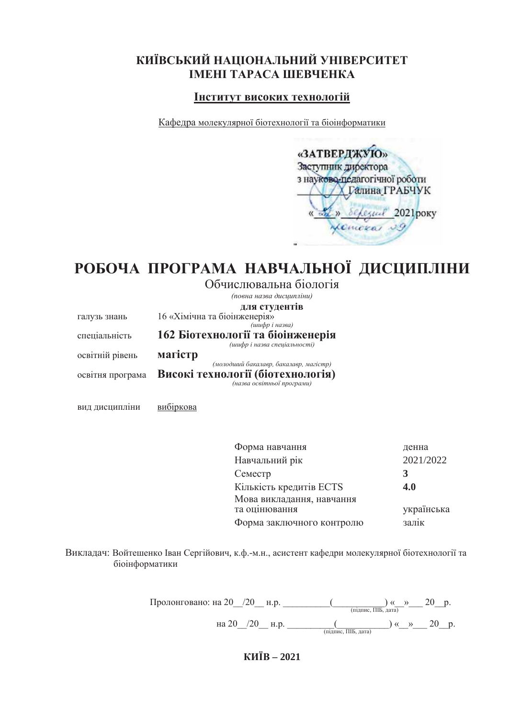# КИЇВСЬКИЙ НАЦІОНАЛЬНИЙ УНІВЕРСИТЕТ **IMEHI TAPACA IIIEBYEHKA**

# **ИНСТИТУТ ВИСОКИХ ТЕХНОЛОГІЙ**

Кафедра молекулярної біотехнології та біоінформатики

| «ЗАТВЕРДЖУЮ»                  |
|-------------------------------|
| Заступник директора           |
| з науково-педагогічної роботи |
| Галина ГРАБЧУК                |
| Cesual 2021 poky              |
|                               |
|                               |

# РОБОЧА ПРОГРАМА НАВЧАЛЬНОЇ ДИСЦИПЛІНИ

Обчислювальна біологія

|                  | (повна назва дисципліни)                                        |
|------------------|-----------------------------------------------------------------|
|                  | для студентів                                                   |
| галузь знань     | 16 «Хімічна та біоінженерія»                                    |
|                  | (шифр і назва)                                                  |
| спеціальність    | 162 Біотехнології та біоінженерія                               |
|                  | (шифр і назва спеціальності)                                    |
| освітній рівень  | магістр                                                         |
|                  | (молодший бакалавр, бакалавр, магістр)                          |
| освітня програма | Високі технології (біотехнологія)<br>(назва освітньої програми) |
|                  |                                                                 |

вид дисципліни вибіркова

Форма навчання денна Навчальний рік 2021/2022 Cemecrp 3 Кількість кредитів ECTS 4.0 Мова викладання, навчання та оцінювання українська Форма заключного контролю залік

Викладач: Войтешенко Іван Сергійович, к.ф.-м.н., асистент кафедри молекулярної біотехнології та біоінформатики

> ɉɪɨɥɨɧɝɨɜɚɧɨɧɚBBBBɧɪBBBBBBBBBBBBBBBBBBBBB©BBªBBBBBɪ ɩɿɞɩɢɫɉȱȻɞɚɬɚ на 20<sub>—</sub>/20<sub>—</sub> н.р. <sub>——————————————————————————20<sub>—</sub> р.</sub>

> > **ɄɂȲȼ– 2021**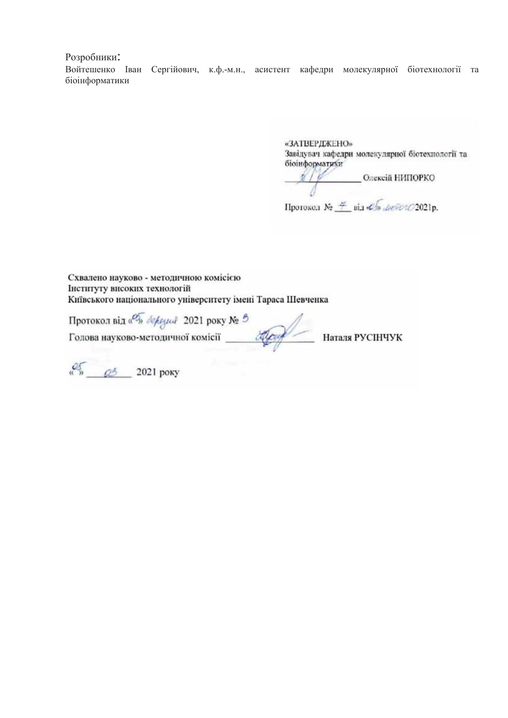Розробники:

Войтешенко Іван Сергійович, к.ф.-м.н., асистент кафедри молекулярної біотехнології та біоінформатики

> «ЗАТВЕРДЖЕНО» Завідувач кафедри молекулярної біотехнології та біоінформатики

DE CONSTANTE CONSECTION EN ELECTRICIA EN EL CONSTANTE EN EL CONSECTION EN EL CONSECTION EN EL CONSECTION EN EL CONSECTION EN EL CONSECTION EN EL CONSECTION EN EL CONSECTION EN EL CONSECTION EN EL CONSECTION EN EL CONSECTIO  $\int$ Протокол №  $\frac{\#}{\#}$ віл «Я» *ЛюбочО*2021р.

Схвалено науково - методичною комісією Інституту високих технологій Київського національного університету імені Тараса Шевченка

Протокол від «<sup>Фу</sup>» *де реда 2021* року № 9

Наталя РУСІНЧУК

 $\frac{25}{9}$   $2021$  poky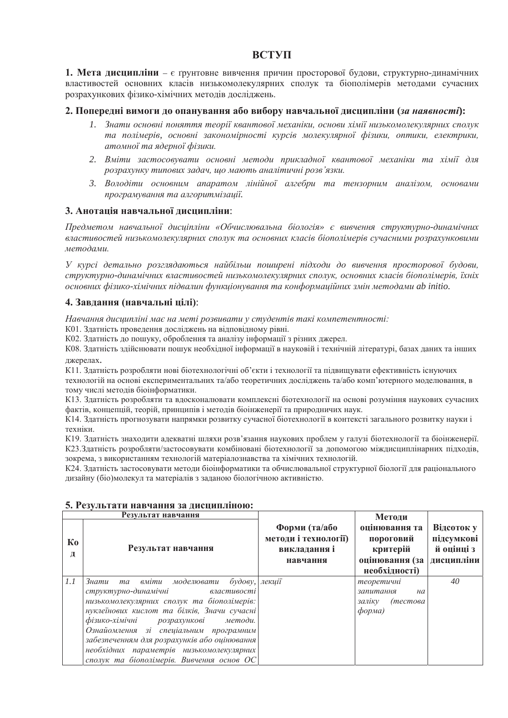# ВСТУП

**1. Мета дисципліни** – є ґрунтовне вивчення причин просторової будови, структурно-динамічних властивостей основних класів низькомолекулярних сполук та біополімерів методами сучасних розрахункових фізико-хімічних методів досліджень.

## 2. Попередні вимоги до опанування або вибору навчальної лиспипліни (за наявності):

- 1. Знати основні поняття теорії квантової механіки, основи хімії низькомолекулярних сполук та полімерів, основні закономірності курсів молекулярної фізики, оптики, електрики, атомної та ядерної фізики.
- 2. Вміти застосовувати основні методи прикладної квантової механіки та хімії для  $po$ зрахунку типових задач, що мають аналітичні розв'язки.
- 3. Володіти основним апаратом лінійної алгебри та тензорним аналізом, основами програмування та алгоритмізації.

## 3. Анотація навчальної дисципліни:

 $\Pi$ *редметом навчальної дисціпліни «Обчислювальна біологія» є вивчення структурно-динамічних* властивостей низькомолекулярних сполук та основних класів біополімерів сучасними розрахунковими *методами.* 

У курсі детально розглядаються найбільш поширені підходи до вивчення просторової будови, структурно-динамічних властивостей низькомолекулярних сполук, основних класів біополімерів, їхніх *ɨɫɧɨɜɧɢɯɮɿɡɢɤɨ-ɯɿɦɿɱɧɢɯ ɩɿɞɜɚɥɢɧ ɮɭɧɤɰɿɨɧɭɜɚɧɧɹɬɚɤɨɧɮɨɪɦɚɰɿɣɧɢɯɡɦɿɧɦɟɬɨɞɚɦɢab initio.*

# 4. Завдання (навчальні цілі):

Навчання дисципліні має на меті розвивати у студентів такі компетентності:

К01. Здатність проведення досліджень на відповідному рівні.

КО2. Здатність до пошуку, оброблення та аналізу інформації з різних джерел.

КО8. Здатність здійснювати пошук необхідної інформації в науковій і технічній літературі, базах даних та інших джерелах.

К11. Здатність розробляти нові біотехнологічні об'єкти і технології та підвищувати ефективність існуючих технологій на основі експериментальних та/або теоретичних досліджень та/або комп'ютерного моделювання, в тому числі метолів біоінформатики.

К13. Здатність розробляти та вдосконалювати комплексні біотехнології на основі розуміння наукових сучасних фактів, концепцій, теорій, принципів і методів біоінженерії та природничих наук.

К14. Здатність прогнозувати напрямки розвитку сучасної біотехнології в контексті загального розвитку науки і техніки.

К19. Здатність знаходити адекватні шляхи розв'язання наукових проблем у галузі біотехнології та біоінженерії. К23.Здатність розробляти/застосовувати комбіновані біотехнології за допомогою міждисциплінарних підходів, зокрема, з використанням технологій матеріалознавства та хімічних технологій.

К24. Здатність застосовувати методи біоінформатики та обчислювальної структурної біології для раціонального дизайну (біо)молекул та матеріалів з заданою біологічною активністю.

| Результат навчання |                                                                                                                                                                                                                                                                                                                                                                                                                                       |                                                                   | Методи                                                                    |                                                      |
|--------------------|---------------------------------------------------------------------------------------------------------------------------------------------------------------------------------------------------------------------------------------------------------------------------------------------------------------------------------------------------------------------------------------------------------------------------------------|-------------------------------------------------------------------|---------------------------------------------------------------------------|------------------------------------------------------|
| Кo<br>Д            | Результат навчання                                                                                                                                                                                                                                                                                                                                                                                                                    | Форми (та/або<br>методи і технології)<br>викладання і<br>навчання | оцінювання та<br>пороговий<br>критерій<br>оцінювання (за<br>необхідності) | Відсоток у<br>підсумкові<br>й оцінці з<br>дисципліни |
| 1.1                | вміти моделювати<br>Знати<br>$\delta y \partial \omega y$ ,<br>ma<br>структурно-динамічні<br>властивості<br>низькомолекулярних сполук та біополімерів:<br>нуклеїнових кислот та білків, Значи сучасні<br>фізико-хімічні<br>методи.<br>розрахункові<br>Ознайомлення зі спеціальним програмним<br>забезпеченням для розрахунків або оцінювання<br>необхідних параметрів низькомолекулярних<br>сполук та біополімерів. Вивчення основ ОС | лекції                                                            | теоретичні<br>запитання<br>на<br>заліку<br>(тестова<br>форма)             | 40                                                   |

#### 5. Результати навчання за дисципліною: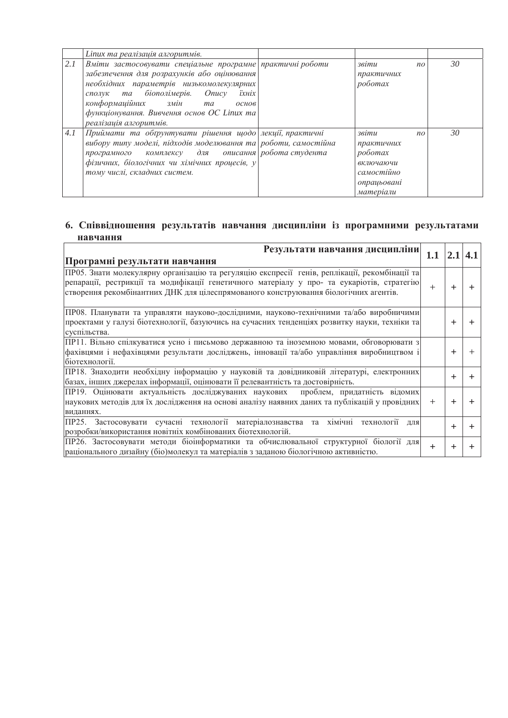|     | Linux та реалізація алгоритмів.                                                                                                                                                                                                                                                                              |                                                                                                  |    |
|-----|--------------------------------------------------------------------------------------------------------------------------------------------------------------------------------------------------------------------------------------------------------------------------------------------------------------|--------------------------------------------------------------------------------------------------|----|
| 2.1 | Вміти застосовувати спеціальне програмне практичні роботи<br>забезпечення для розрахунків або оцінювання<br>необхідних параметрів низькомолекулярних<br>сполук та біополімерів. Опису<br>їхніх<br>конформаційних змін<br>ma<br>основ<br>функціонування. Вивчення основ ОС Linux та<br>реалізація алгоритмів. | звіти<br>$n_{O}$<br>практичних<br>роботах                                                        | 30 |
| 4.1 | Приймати та обтрунтувати рішення щодо лекції, практичні<br>вибору типу моделі, підходів моделювання та роботи, самостійна<br>програмного комплексу для описання робота студента<br>фізичних, біологічних чи хімічних процесів, у<br>тому числі, складних систем.                                             | звіти<br>$n_{O}$<br>практичних<br>роботах<br>включаючи<br>самостійно<br>опрацьовані<br>матеріали | 30 |

# 6. Співвідношення результатів навчання дисципліни із програмними результатами навчання

| Результати навчання дисципліни                                                                |        | 2.1   4.1 |  |
|-----------------------------------------------------------------------------------------------|--------|-----------|--|
| Програмні результати навчання                                                                 |        |           |  |
| ПРО5. Знати молекулярну організацію та регуляцію експресії генів, реплікації, рекомбінації та |        |           |  |
| репарації, рестрикції та модифікації генетичного матеріалу у про- та еукаріотів, стратегію    |        |           |  |
| створення рекомбінантних ДНК для цілеспрямованого конструювання біологічних агентів.          |        |           |  |
| ПРО8. Планувати та управляти науково-дослідними, науково-технічними та/або виробничими        |        |           |  |
| проектами у галузі біотехнології, базуючись на сучасних тенденціях розвитку науки, техніки та |        |           |  |
| суспільства.                                                                                  |        |           |  |
| ПР11. Вільно спілкуватися усно і письмово державною та іноземною мовами, обговорювати з       |        |           |  |
| фахівцями і нефахівцями результати досліджень, інновації та/або управління виробництвом і     |        |           |  |
| біотехнології.                                                                                |        |           |  |
| ПР18. Знаходити необхідну інформацію у науковій та довідниковій літературі, електронних       |        |           |  |
| базах, інших джерелах інформації, оцінювати її релевантність та достовірність.                |        |           |  |
| ПР19. Оцінювати актуальність досліджуваних наукових проблем, придатність відомих              |        |           |  |
| наукових методів для їх дослідження на основі аналізу наявних даних та публікацій у провідних | $^{+}$ |           |  |
| виданнях.                                                                                     |        |           |  |
| ПР25. Застосовувати сучасні технології матеріалознавства та хімічні технології<br>ЛЛЯ         |        | ╅         |  |
| розробки/використання новітніх комбінованих біотехнологій.                                    |        |           |  |
| ПР26. Застосовувати методи біоінформатики та обчислювальної структурної біології для          | $^{+}$ |           |  |
| раціонального дизайну (біо)молекул та матеріалів з заданою біологічною активністю.            |        |           |  |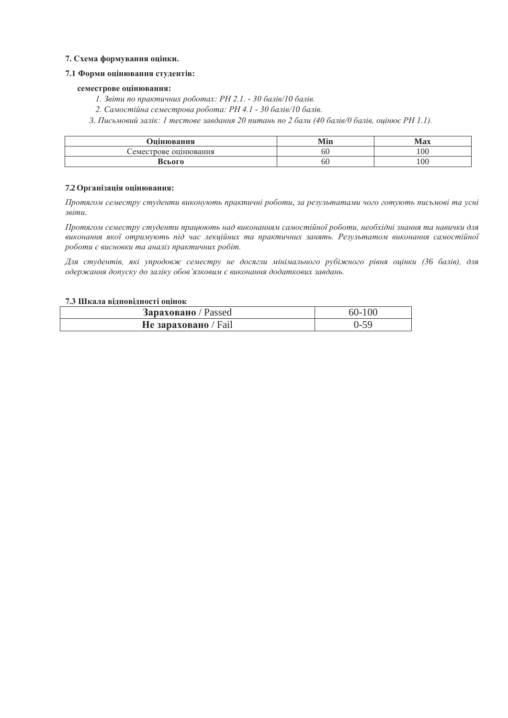#### 7. Схема формування оцінки.

#### 7.1 Форми оцінювання студентів:

#### семестрове оцінювання:

*1. Звіти по практичних роботах: РН 2.1. - 30 балів/10 балів.* 

2. Самостійна семестрова робота: РН 4.1 - 30 балів/10 балів.

3. Письмовий залік: 1 тестове завдання 20 питань по 2 бали (40 балів/0 балів, оцінює РН 1.1).

| <b>)пінювання</b>     | VIin | Max           |
|-----------------------|------|---------------|
| Семестрове оцінювання | 6U   | $100^{\circ}$ |
| Всього                | 6U   | 100           |

#### **7.2 Організація оцінювання:**

*ɉɪɨɬɹɝɨɦɫɟɦɟɫɬɪɭɫɬɭɞɟɧɬɢɜɢɤɨɧɭɸɬɶɩɪɚɤɬɢɱɧɿɪɨɛɨɬɢ, ɡɚɪɟɡɭɥɶɬɚɬɚɦɢɱɨɝɨɝɨɬɭɸɬɶɩɢɫɶɦɨɜɿɬɚɭɫɧɿ ɡɜɿɬɢ.*

Протягом семестру студенти працюють над виконанням самостійної роботи, необхідні знання та навички для виконання якої отримують nid час лекційних та практичних занять. Результатом виконання самостійної  $po6$ *оти є висновки та аналіз практичних робіт.* 

Для студентів, які упродовж семестру не досягли мінімального рубіжного рівня оцінки (36 балів), для  $o$ держання допуску до заліку обов'язковим є виконання додаткових завдань.

#### 7.3 Шкала відповідності оцінок

| <b>Зараховано</b> / Passed  | $60 - 100$ |
|-----------------------------|------------|
| <b>Не зараховано</b> / Fail | 0-59       |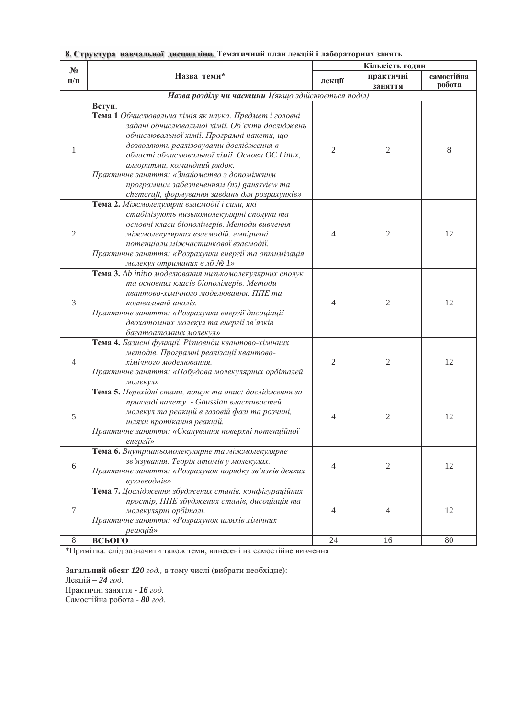| $N_2$            |                                                                                                                                                                                                                                                                                                                                                                                                                                             | Кількість годин |                |            |  |
|------------------|---------------------------------------------------------------------------------------------------------------------------------------------------------------------------------------------------------------------------------------------------------------------------------------------------------------------------------------------------------------------------------------------------------------------------------------------|-----------------|----------------|------------|--|
| $\Pi/\Pi$        | Назва теми*                                                                                                                                                                                                                                                                                                                                                                                                                                 | лекції          | практичні      | самостійна |  |
|                  |                                                                                                                                                                                                                                                                                                                                                                                                                                             |                 | заняття        | робота     |  |
|                  | Назва розділу чи частини 1 (якщо здійснюється поділ)                                                                                                                                                                                                                                                                                                                                                                                        |                 |                |            |  |
| 1                | Вступ.<br>Тема 1 Обчислювальна хімія як наука. Предмет і головні<br>задачі обчислювальної хімії. Об'єкти досліджень<br>обчислювальної хімії. Програмні пакети, що<br>дозволяють реалізовувати дослідження в<br>області обчислювальної хімії. Основи ОС Linux,<br>алгоритми, командний рядок.<br>Практичне заняття: «Знайомство з допоміжним<br>програмним забезпеченням (nз) gaussview ma<br>chemcraft, формування завдань для розрахунків» | $\overline{2}$  | $\mathfrak{2}$ | 8          |  |
| 2                | Тема 2. Міжмолекулярні взаємодії і сили, які<br>стабілізують низькомолекулярні сполуки та<br>основні класи біополімерів. Методи вивчення<br>міжмолекулярних взаємодій. емпіричні<br>потенціали міжчастинкової взаємодії.<br>Практичне заняття: «Розрахунки енергії та оптимізація<br>молекул отриманих в лб № 1»                                                                                                                            | $\overline{4}$  | $\overline{c}$ | 12         |  |
| 3                | Тема 3. Ab initio моделювання низькомолекулярних сполук<br>та основних класів біополімерів. Методи<br>квантово-хімічного моделювання. ППЕ та<br>коливальний аналіз.<br>Практичне заняття: «Розрахунки енергії дисоціації<br>двохатомних молекул та енергії зв'язків<br>багатоатомних молекул»                                                                                                                                               | $\overline{4}$  | 2              | 12         |  |
| 4                | Тема 4. Базисні функції. Різновиди квантово-хімічних<br>методів. Програмні реалізації квантово-<br>хімічного моделювання.<br>Практичне заняття: «Побудова молекулярних орбіталей<br>молекул»                                                                                                                                                                                                                                                | $\overline{2}$  | $\mathfrak{2}$ | 12         |  |
| 5                | Тема 5. Перехідні стани, пошук та опис: дослідження за<br>прикладі пакету - Gaussian властивостей<br>молекул та реакцій в газовій фазі та розчині,<br>шляхи протікання реакцій.<br>Практичне заняття: «Сканування поверхні потенційної<br>енергії»                                                                                                                                                                                          | 4               | $\overline{2}$ | 12         |  |
| 6                | Тема 6. Внутрішньомолекулярне та міжмолекулярне<br>зв'язування. Теорія атомів у молекулах.<br>Практичне заняття: «Розрахунок порядку зв'язків деяких<br>вуглеводнів»                                                                                                                                                                                                                                                                        | $\overline{4}$  | $\mathfrak{2}$ | 12         |  |
| $\boldsymbol{7}$ | Тема 7. Дослідження збуджених станів, конфігураційних<br>простір, ППЕ збуджених станів, дисоціація та<br>молекулярні орбіталі.<br>Практичне заняття: «Розрахунок шляхів хімічних<br>реакцій»                                                                                                                                                                                                                                                | $\overline{4}$  | 4              | 12         |  |
| $\,8\,$          | ВСЬОГО                                                                                                                                                                                                                                                                                                                                                                                                                                      | 24              | 16             | 80         |  |

8. Структура навчальної дисципліни. Тематичний план лекцій і лабораторних занять

\*Примітка: слід зазначити також теми, винесені на самостійне вивчення

Загальний обсяг 120 год., в тому числі (вибрати необхідне):

Лекцій - 24 год. Практичні заняття - 16 год.

Самостійна робота - 80 год.